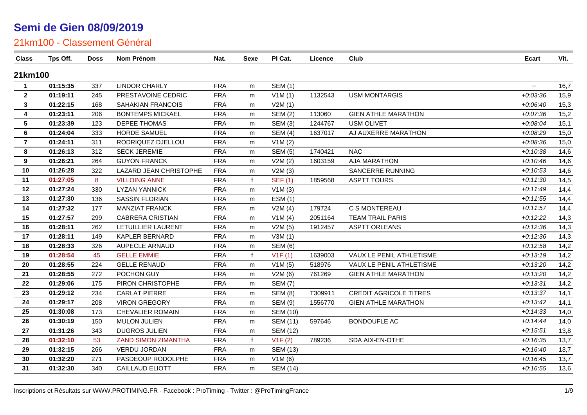| <b>Class</b>   | Tps Off. | <b>Doss</b> | Nom Prénom                 | Nat.       | <b>Sexe</b> | PI Cat.         | Licence | Club                          | <b>Ecart</b>             | Vit. |
|----------------|----------|-------------|----------------------------|------------|-------------|-----------------|---------|-------------------------------|--------------------------|------|
| 21km100        |          |             |                            |            |             |                 |         |                               |                          |      |
| $\mathbf 1$    | 01:15:35 | 337         | <b>LINDOR CHARLY</b>       | <b>FRA</b> | m           | <b>SEM (1)</b>  |         |                               | $\overline{\phantom{a}}$ | 16,7 |
| $\overline{2}$ | 01:19:11 | 245         | PRESTAVOINE CEDRIC         | <b>FRA</b> | m           | V1M(1)          | 1132543 | <b>USM MONTARGIS</b>          | $+0.03336$               | 15,9 |
| 3              | 01:22:15 | 168         | <b>SAHAKIAN FRANCOIS</b>   | <b>FRA</b> | m           | V2M(1)          |         |                               | $+0.06:40$               | 15,3 |
| 4              | 01:23:11 | 206         | <b>BONTEMPS MICKAEL</b>    | <b>FRA</b> | m           | <b>SEM (2)</b>  | 113060  | <b>GIEN ATHLE MARATHON</b>    | $+0.07.36$               | 15,2 |
| 5              | 01:23:39 | 123         | <b>DEPEE THOMAS</b>        | <b>FRA</b> | m           | <b>SEM (3)</b>  | 1244767 | <b>USM OLIVET</b>             | $+0.08:04$               | 15,1 |
| 6              | 01:24:04 | 333         | <b>HORDE SAMUEL</b>        | <b>FRA</b> | m           | <b>SEM (4)</b>  | 1637017 | AJ AUXERRE MARATHON           | $+0.08:29$               | 15,0 |
| $\overline{7}$ | 01:24:11 | 311         | RODRIQUEZ DJELLOU          | <b>FRA</b> | m           | V1M(2)          |         |                               | $+0.08.36$               | 15,0 |
| 8              | 01:26:13 | 312         | <b>SECK JEREMIE</b>        | <b>FRA</b> | m           | <b>SEM (5)</b>  | 1740421 | <b>NAC</b>                    | $+0:10:38$               | 14,6 |
| 9              | 01:26:21 | 264         | <b>GUYON FRANCK</b>        | <b>FRA</b> | m           | V2M(2)          | 1603159 | <b>AJA MARATHON</b>           | $+0:10:46$               | 14,6 |
| 10             | 01:26:28 | 322         | LAZARD JEAN CHRISTOPHE     | <b>FRA</b> | m           | V2M(3)          |         | SANCERRE RUNNING              | $+0:10:53$               | 14,6 |
| 11             | 01:27:05 | 8           | <b>VILLOING ANNE</b>       | <b>FRA</b> | f           | <b>SEF (1)</b>  | 1859568 | <b>ASPTT TOURS</b>            | $+0:11:30$               | 14,5 |
| 12             | 01:27:24 | 330         | <b>LYZAN YANNICK</b>       | <b>FRA</b> | m           | V1M(3)          |         |                               | $+0:11:49$               | 14,4 |
| 13             | 01:27:30 | 136         | <b>SASSIN FLORIAN</b>      | <b>FRA</b> | m           | ESM(1)          |         |                               | $+0:11:55$               | 14,4 |
| 14             | 01:27:32 | 177         | <b>MANZIAT FRANCK</b>      | <b>FRA</b> | m           | V2M(4)          | 179724  | C S MONTEREAU                 | $+0:11:57$               | 14,4 |
| 15             | 01:27:57 | 299         | <b>CABRERA CRISTIAN</b>    | <b>FRA</b> | m           | V1M(4)          | 2051164 | <b>TEAM TRAIL PARIS</b>       | $+0:12:22$               | 14,3 |
| 16             | 01:28:11 | 262         | LETUILLIER LAURENT         | <b>FRA</b> | m           | V2M(5)          | 1912457 | <b>ASPTT ORLEANS</b>          | $+0:12:36$               | 14,3 |
| 17             | 01:28:11 | 149         | KAPLER BERNARD             | <b>FRA</b> | m           | V3M(1)          |         |                               | $+0:12:36$               | 14,3 |
| 18             | 01:28:33 | 326         | <b>AUPECLE ARNAUD</b>      | <b>FRA</b> | m           | <b>SEM (6)</b>  |         |                               | $+0:12:58$               | 14,2 |
| 19             | 01:28:54 | 45          | <b>GELLE EMMIE</b>         | <b>FRA</b> | f           | V1F(1)          | 1639003 | VAUX LE PENIL ATHLETISME      | $+0:13:19$               | 14,2 |
| 20             | 01:28:55 | 224         | <b>GELLE RENAUD</b>        | <b>FRA</b> | m           | V1M(5)          | 518976  | VAUX LE PENIL ATHLETISME      | $+0:13:20$               | 14,2 |
| 21             | 01:28:55 | 272         | POCHON GUY                 | <b>FRA</b> | m           | V2M(6)          | 761269  | <b>GIEN ATHLE MARATHON</b>    | $+0:13:20$               | 14,2 |
| 22             | 01:29:06 | 175         | PIRON CHRISTOPHE           | <b>FRA</b> | m           | <b>SEM (7)</b>  |         |                               | $+0:13:31$               | 14,2 |
| 23             | 01:29:12 | 234         | <b>CARLAT PIERRE</b>       | <b>FRA</b> | m           | <b>SEM (8)</b>  | T309911 | <b>CREDIT AGRICOLE TITRES</b> | $+0:13:37$               | 14,1 |
| 24             | 01:29:17 | 208         | <b>VIRON GREGORY</b>       | <b>FRA</b> | m           | <b>SEM (9)</b>  | 1556770 | <b>GIEN ATHLE MARATHON</b>    | $+0:13:42$               | 14,1 |
| 25             | 01:30:08 | 173         | <b>CHEVALIER ROMAIN</b>    | <b>FRA</b> | m           | <b>SEM (10)</b> |         |                               | $+0:14:33$               | 14,0 |
| 26             | 01:30:19 | 150         | <b>MULON JULIEN</b>        | <b>FRA</b> | m           | <b>SEM (11)</b> | 597646  | <b>BONDOUFLE AC</b>           | $+0:14:44$               | 14,0 |
| 27             | 01:31:26 | 343         | <b>DUGROS JULIEN</b>       | <b>FRA</b> | m           | <b>SEM (12)</b> |         |                               | $+0:15:51$               | 13,8 |
| 28             | 01:32:10 | 53          | <b>ZAND SIMON ZIMANTHA</b> | <b>FRA</b> | f           | V1F(2)          | 789236  | SDA AIX-EN-OTHE               | $+0:16:35$               | 13,7 |
| 29             | 01:32:15 | 266         | <b>VERDU JORDAN</b>        | <b>FRA</b> | m           | <b>SEM (13)</b> |         |                               | $+0.16:40$               | 13,7 |
| 30             | 01:32:20 | 271         | PASDEOUP RODOLPHE          | <b>FRA</b> | m           | V1M(6)          |         |                               | $+0:16:45$               | 13,7 |
| 31             | 01:32:30 | 340         | <b>CAILLAUD ELIOTT</b>     | <b>FRA</b> | m           | <b>SEM (14)</b> |         |                               | $+0.16.55$               | 13,6 |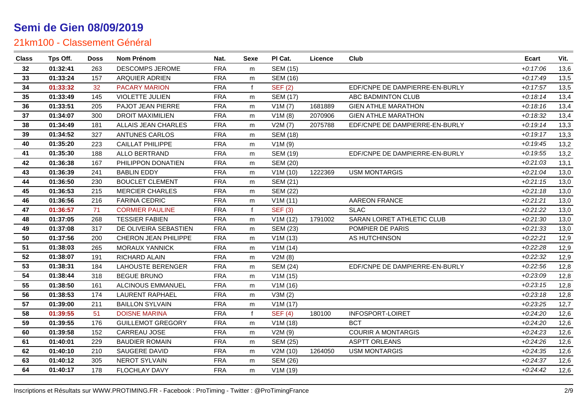| <b>Class</b> | Tps Off. | <b>Doss</b> | Nom Prénom                  | Nat.       | Sexe         | PI Cat.         | Licence | Club                           | <b>Ecart</b> | Vit. |
|--------------|----------|-------------|-----------------------------|------------|--------------|-----------------|---------|--------------------------------|--------------|------|
| 32           | 01:32:41 | 263         | DESCOMPS JEROME             | <b>FRA</b> | m            | <b>SEM (15)</b> |         |                                | $+0:17:06$   | 13,6 |
| 33           | 01:33:24 | 157         | ARQUIER ADRIEN              | <b>FRA</b> | m            | <b>SEM (16)</b> |         |                                | $+0:17:49$   | 13,5 |
| 34           | 01:33:32 | 32          | <b>PACARY MARION</b>        | <b>FRA</b> | $\mathbf{f}$ | <b>SEF (2)</b>  |         | EDF/CNPE DE DAMPIERRE-EN-BURLY | $+0:17:57$   | 13,5 |
| 35           | 01:33:49 | 145         | VIOLETTE JULIEN             | <b>FRA</b> | m            | <b>SEM (17)</b> |         | ABC BADMINTON CLUB             | $+0.18:14$   | 13,4 |
| 36           | 01:33:51 | 205         | PAJOT JEAN PIERRE           | <b>FRA</b> | m            | V1M(7)          | 1681889 | <b>GIEN ATHLE MARATHON</b>     | $+0:18:16$   | 13,4 |
| 37           | 01:34:07 | 300         | <b>DROIT MAXIMILIEN</b>     | <b>FRA</b> | m            | V1M(8)          | 2070906 | <b>GIEN ATHLE MARATHON</b>     | $+0:18:32$   | 13,4 |
| 38           | 01:34:49 | 181         | ALLAIS JEAN CHARLES         | <b>FRA</b> | m            | V2M(7)          | 2075788 | EDF/CNPE DE DAMPIERRE-EN-BURLY | $+0:19:14$   | 13,3 |
| 39           | 01:34:52 | 327         | <b>ANTUNES CARLOS</b>       | <b>FRA</b> | m            | <b>SEM (18)</b> |         |                                | $+0:19:17$   | 13,3 |
| 40           | 01:35:20 | 223         | <b>CAILLAT PHILIPPE</b>     | <b>FRA</b> | m            | V1M(9)          |         |                                | $+0:19:45$   | 13,2 |
| 41           | 01:35:30 | 188         | <b>ALLO BERTRAND</b>        | <b>FRA</b> | m            | <b>SEM (19)</b> |         | EDF/CNPE DE DAMPIERRE-EN-BURLY | $+0:19:55$   | 13,2 |
| 42           | 01:36:38 | 167         | PHILIPPON DONATIEN          | <b>FRA</b> | m            | SEM (20)        |         |                                | $+0.21:03$   | 13,1 |
| 43           | 01:36:39 | 241         | <b>BABLIN EDDY</b>          | <b>FRA</b> | m            | V1M(10)         | 1222369 | <b>USM MONTARGIS</b>           | $+0.21:04$   | 13,0 |
| 44           | 01:36:50 | 230         | <b>BOUCLET CLEMENT</b>      | <b>FRA</b> | m            | <b>SEM (21)</b> |         |                                | $+0:21:15$   | 13,0 |
| 45           | 01:36:53 | 215         | <b>MERCIER CHARLES</b>      | <b>FRA</b> | m            | <b>SEM (22)</b> |         |                                | $+0:21:18$   | 13,0 |
| 46           | 01:36:56 | 216         | <b>FARINA CEDRIC</b>        | <b>FRA</b> | m            | V1M(11)         |         | <b>AAREON FRANCE</b>           | $+0.21.21$   | 13,0 |
| 47           | 01:36:57 | 71          | <b>CORMIER PAULINE</b>      | <b>FRA</b> | f            | <b>SEF (3)</b>  |         | <b>SLAC</b>                    | $+0:21:22$   | 13,0 |
| 48           | 01:37:05 | 268         | <b>TESSIER FABIEN</b>       | <b>FRA</b> | m            | V1M(12)         | 1791002 | SARAN LOIRET ATHLETIC CLUB     | $+0.21.30$   | 13,0 |
| 49           | 01:37:08 | 317         | DE OLIVEIRA SEBASTIEN       | <b>FRA</b> | m            | <b>SEM (23)</b> |         | POMPIER DE PARIS               | $+0.21.33$   | 13,0 |
| 50           | 01:37:56 | 200         | <b>CHERON JEAN PHILIPPE</b> | <b>FRA</b> | m            | V1M(13)         |         | AS HUTCHINSON                  | $+0:22:21$   | 12,9 |
| 51           | 01:38:03 | 265         | <b>MORAUX YANNICK</b>       | <b>FRA</b> | m            | V1M(14)         |         |                                | $+0.22.28$   | 12,9 |
| 52           | 01:38:07 | 191         | RICHARD ALAIN               | <b>FRA</b> | m            | V2M(8)          |         |                                | $+0.22:32$   | 12,9 |
| 53           | 01:38:31 | 184         | <b>LAHOUSTE BERENGER</b>    | <b>FRA</b> | m            | <b>SEM (24)</b> |         | EDF/CNPE DE DAMPIERRE-EN-BURLY | $+0.22:56$   | 12,8 |
| 54           | 01:38:44 | 318         | <b>BEGUE BRUNO</b>          | <b>FRA</b> | m            | V1M(15)         |         |                                | $+0.23.09$   | 12,8 |
| 55           | 01:38:50 | 161         | ALCINOUS EMMANUEL           | <b>FRA</b> | m            | V1M (16)        |         |                                | $+0.23:15$   | 12,8 |
| 56           | 01:38:53 | 174         | <b>LAURENT RAPHAEL</b>      | <b>FRA</b> | m            | V3M(2)          |         |                                | $+0.23:18$   | 12,8 |
| 57           | 01:39:00 | 211         | <b>BAILLON SYLVAIN</b>      | <b>FRA</b> | m            | V1M(17)         |         |                                | $+0.23.25$   | 12,7 |
| 58           | 01:39:55 | 51          | <b>DOISNE MARINA</b>        | <b>FRA</b> |              | <b>SEF (4)</b>  | 180100  | INFOSPORT-LOIRET               | $+0.24.20$   | 12,6 |
| 59           | 01:39:55 | 176         | <b>GUILLEMOT GREGORY</b>    | <b>FRA</b> | m            | V1M(18)         |         | <b>BCT</b>                     | $+0.24.20$   | 12,6 |
| 60           | 01:39:58 | 152         | CARREAU JOSE                | <b>FRA</b> | m            | V2M(9)          |         | <b>COURIR A MONTARGIS</b>      | $+0:24:23$   | 12,6 |
| 61           | 01:40:01 | 229         | <b>BAUDIER ROMAIN</b>       | <b>FRA</b> | m            | <b>SEM (25)</b> |         | <b>ASPTT ORLEANS</b>           | $+0:24:26$   | 12,6 |
| 62           | 01:40:10 | 210         | SAUGERE DAVID               | <b>FRA</b> | m            | V2M(10)         | 1264050 | <b>USM MONTARGIS</b>           | $+0.24.35$   | 12,6 |
| 63           | 01:40:12 | 305         | <b>NEROT SYLVAIN</b>        | <b>FRA</b> | m            | <b>SEM (26)</b> |         |                                | $+0.24.37$   | 12,6 |
| 64           | 01:40:17 | 178         | FLOCHLAY DAVY               | <b>FRA</b> | m            | V1M(19)         |         |                                | $+0:24:42$   | 12,6 |
|              |          |             |                             |            |              |                 |         |                                |              |      |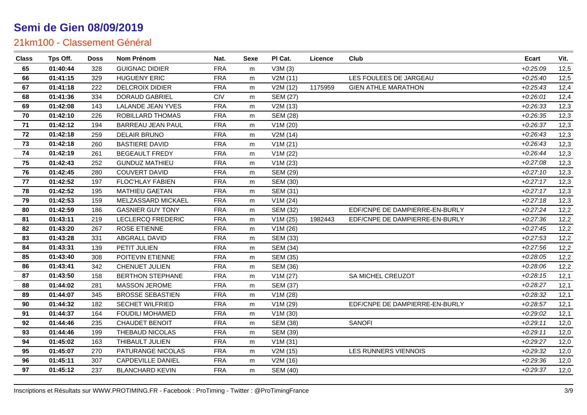| <b>Class</b> | Tps Off. | <b>Doss</b> | Nom Prénom               | Nat.       | Sexe | PI Cat.         | Licence | Club                           | <b>Ecart</b> | Vit. |
|--------------|----------|-------------|--------------------------|------------|------|-----------------|---------|--------------------------------|--------------|------|
| 65           | 01:40:44 | 328         | <b>GUIGNAC DIDIER</b>    | <b>FRA</b> | m    | V3M(3)          |         |                                | $+0.25:09$   | 12,5 |
| 66           | 01:41:15 | 329         | <b>HUGUENY ERIC</b>      | <b>FRA</b> | m    | V2M(11)         |         | LES FOULEES DE JARGEAU         | $+0.25:40$   | 12,5 |
| 67           | 01:41:18 | 222         | <b>DELCROIX DIDIER</b>   | <b>FRA</b> | m    | V2M (12)        | 1175959 | <b>GIEN ATHLE MARATHON</b>     | $+0.25:43$   | 12,4 |
| 68           | 01:41:36 | 334         | DORAUD GABRIEL           | CIV        | m    | <b>SEM (27)</b> |         |                                | $+0.26:01$   | 12,4 |
| 69           | 01:42:08 | 143         | <b>LALANDE JEAN YVES</b> | <b>FRA</b> | m    | V2M (13)        |         |                                | $+0.26.33$   | 12,3 |
| 70           | 01:42:10 | 226         | ROBILLARD THOMAS         | <b>FRA</b> | m    | <b>SEM (28)</b> |         |                                | $+0.26.35$   | 12,3 |
| 71           | 01:42:12 | 194         | <b>BARREAU JEAN PAUL</b> | <b>FRA</b> | m    | V1M(20)         |         |                                | $+0.26.37$   | 12,3 |
| 72           | 01:42:18 | 259         | <b>DELAIR BRUNO</b>      | <b>FRA</b> | m    | V2M(14)         |         |                                | $+0.26:43$   | 12,3 |
| 73           | 01:42:18 | 260         | <b>BASTIERE DAVID</b>    | <b>FRA</b> | m    | V1M(21)         |         |                                | $+0.26:43$   | 12,3 |
| 74           | 01:42:19 | 261         | <b>BEGEAULT FREDY</b>    | <b>FRA</b> | m    | V1M (22)        |         |                                | $+0.26:44$   | 12,3 |
| 75           | 01:42:43 | 252         | <b>GUNDUZ MATHIEU</b>    | <b>FRA</b> | m    | V1M(23)         |         |                                | $+0.27:08$   | 12,3 |
| 76           | 01:42:45 | 280         | <b>COUVERT DAVID</b>     | <b>FRA</b> | m    | SEM (29)        |         |                                | $+0:27:10$   | 12,3 |
| 77           | 01:42:52 | 197         | FLOC'HLAY FABIEN         | <b>FRA</b> | m    | <b>SEM (30)</b> |         |                                | $+0:27:17$   | 12,3 |
| 78           | 01:42:52 | 195         | <b>MATHIEU GAETAN</b>    | <b>FRA</b> | m    | <b>SEM (31)</b> |         |                                | $+0:27:17$   | 12,3 |
| 79           | 01:42:53 | 159         | MELZASSARD MICKAEL       | <b>FRA</b> | m    | V1M(24)         |         |                                | $+0.27:18$   | 12,3 |
| 80           | 01:42:59 | 186         | <b>GASNIER GUY TONY</b>  | <b>FRA</b> | m    | SEM (32)        |         | EDF/CNPE DE DAMPIERRE-EN-BURLY | $+0:27:24$   | 12,2 |
| 81           | 01:43:11 | 219         | <b>LECLERCQ FREDERIC</b> | <b>FRA</b> | m    | V1M(25)         | 1982443 | EDF/CNPE DE DAMPIERRE-EN-BURLY | $+0.27.36$   | 12,2 |
| 82           | 01:43:20 | 267         | <b>ROSE ETIENNE</b>      | <b>FRA</b> | m    | V1M(26)         |         |                                | $+0.27:45$   | 12,2 |
| 83           | 01:43:28 | 331         | <b>ABGRALL DAVID</b>     | <b>FRA</b> | m    | SEM (33)        |         |                                | $+0.27:53$   | 12,2 |
| 84           | 01:43:31 | 139         | PETIT JULIEN             | <b>FRA</b> | m    | <b>SEM (34)</b> |         |                                | $+0.27:56$   | 12,2 |
| 85           | 01:43:40 | 308         | POITEVIN ETIENNE         | <b>FRA</b> | m    | <b>SEM (35)</b> |         |                                | $+0.28:05$   | 12,2 |
| 86           | 01:43:41 | 342         | CHENUET JULIEN           | <b>FRA</b> | m    | <b>SEM (36)</b> |         |                                | $+0.28:06$   | 12,2 |
| 87           | 01:43:50 | 158         | <b>BERTHON STEPHANE</b>  | <b>FRA</b> | m    | V1M(27)         |         | SA MICHEL CREUZOT              | $+0.28:15$   | 12,1 |
| 88           | 01:44:02 | 281         | MASSON JEROME            | <b>FRA</b> | m    | <b>SEM (37)</b> |         |                                | $+0.28.27$   | 12,1 |
| 89           | 01:44:07 | 345         | <b>BROSSE SEBASTIEN</b>  | <b>FRA</b> | m    | V1M(28)         |         |                                | $+0.28.32$   | 12,1 |
| 90           | 01:44:32 | 182         | <b>SECHET WILFRIED</b>   | <b>FRA</b> | m    | V1M (29)        |         | EDF/CNPE DE DAMPIERRE-EN-BURLY | $+0.28:57$   | 12,1 |
| 91           | 01:44:37 | 164         | <b>FOUDILI MOHAMED</b>   | <b>FRA</b> | m    | V1M(30)         |         |                                | $+0.29:02$   | 12,1 |
| 92           | 01:44:46 | 235         | <b>CHAUDET BENOIT</b>    | <b>FRA</b> | m    | <b>SEM (38)</b> |         | <b>SANOFI</b>                  | $+0.29:11$   | 12,0 |
| 93           | 01:44:46 | 199         | THEBAUD NICOLAS          | <b>FRA</b> | m    | SEM (39)        |         |                                | $+0.29:11$   | 12,0 |
| 94           | 01:45:02 | 163         | THIBAULT JULIEN          | <b>FRA</b> | m    | V1M(31)         |         |                                | $+0.29.27$   | 12,0 |
| 95           | 01:45:07 | 270         | PATURANGE NICOLAS        | <b>FRA</b> | m    | V2M (15)        |         | LES RUNNERS VIENNOIS           | $+0.29.32$   | 12,0 |
| 96           | 01:45:11 | 307         | <b>CAPDEVILLE DANIEL</b> | <b>FRA</b> | m    | V2M (16)        |         |                                | $+0.29.36$   | 12,0 |
| 97           | 01:45:12 | 237         | <b>BLANCHARD KEVIN</b>   | <b>FRA</b> | m    | <b>SEM (40)</b> |         |                                | $+0.29.37$   | 12,0 |
|              |          |             |                          |            |      |                 |         |                                |              |      |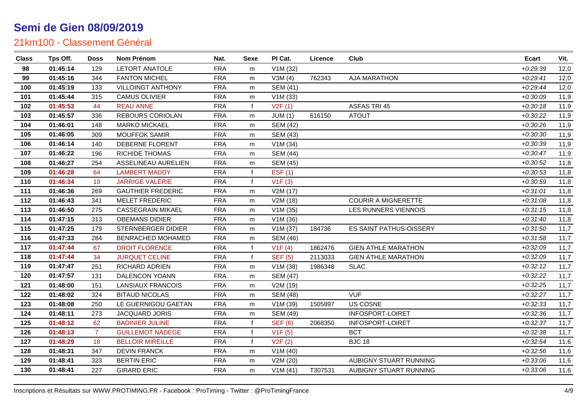| <b>Class</b> | Tps Off. | <b>Doss</b>     | Nom Prénom               | Nat.       | Sexe         | PI Cat.         | Licence | Club                       | <b>Ecart</b> | Vit. |
|--------------|----------|-----------------|--------------------------|------------|--------------|-----------------|---------|----------------------------|--------------|------|
| 98           | 01:45:14 | 129             | <b>LETORT ANATOLE</b>    | <b>FRA</b> | m            | V1M(32)         |         |                            | $+0.29.39$   | 12,0 |
| 99           | 01:45:16 | 344             | <b>FANTON MICHEL</b>     | <b>FRA</b> | m            | V3M(4)          | 762343  | <b>AJA MARATHON</b>        | $+0.29:41$   | 12,0 |
| 100          | 01:45:19 | 133             | <b>VILLOINGT ANTHONY</b> | <b>FRA</b> | m            | SEM (41)        |         |                            | $+0.29:44$   | 12,0 |
| 101          | 01:45:44 | 315             | <b>CAMUS OLIVIER</b>     | <b>FRA</b> | m            | V1M(33)         |         |                            | $+0.30.09$   | 11,9 |
| 102          | 01:45:53 | 44              | <b>REAU ANNE</b>         | <b>FRA</b> | f            | V2F(1)          |         | <b>ASFAS TRI 45</b>        | $+0:30:18$   | 11,9 |
| 103          | 01:45:57 | 336             | <b>REBOURS CORIOLAN</b>  | <b>FRA</b> | m            | JUM(1)          | 616150  | <b>ATOUT</b>               | $+0.30:22$   | 11,9 |
| 104          | 01:46:01 | 148             | <b>MARKO MICKAEL</b>     | <b>FRA</b> | m            | <b>SEM (42)</b> |         |                            | $+0:30:26$   | 11,9 |
| 105          | 01:46:05 | 309             | <b>MOUFFOK SAMIR</b>     | <b>FRA</b> | m            | <b>SEM (43)</b> |         |                            | $+0.30.30$   | 11,9 |
| 106          | 01:46:14 | 140             | DEBERNE FLORENT          | <b>FRA</b> | m            | V1M(34)         |         |                            | $+0.30.39$   | 11,9 |
| 107          | 01:46:22 | 196             | RICHIDE THOMAS           | <b>FRA</b> | m            | <b>SEM (44)</b> |         |                            | $+0:30:47$   | 11,9 |
| 108          | 01:46:27 | 254             | ASSELINEAU AURELIEN      | <b>FRA</b> | m            | <b>SEM (45)</b> |         |                            | $+0.30.52$   | 11,8 |
| 109          | 01:46:28 | 64              | <b>LAMBERT MADDY</b>     | <b>FRA</b> | f            | EST(1)          |         |                            | $+0.30.53$   | 11,8 |
| 110          | 01:46:34 | 10 <sup>°</sup> | <b>JARRIGE VALERIE</b>   | <b>FRA</b> | f            | V1F(3)          |         |                            | $+0.30.59$   | 11,8 |
| 111          | 01:46:36 | 269             | <b>GAUTHIER FREDERIC</b> | <b>FRA</b> | m            | V2M(17)         |         |                            | $+0.31:01$   | 11,8 |
| 112          | 01:46:43 | 341             | <b>MELET FREDERIC</b>    | <b>FRA</b> | m            | V2M (18)        |         | <b>COURIR A MIGNERETTE</b> | $+0.31.08$   | 11,8 |
| 113          | 01:46:50 | 275             | <b>CASSEGRAIN MIKAEL</b> | <b>FRA</b> | m            | V1M(35)         |         | LES RUNNERS VIENNOIS       | $+0:31:15$   | 11,8 |
| 114          | 01:47:15 | 313             | <b>OBEMANS DIDIER</b>    | <b>FRA</b> | m            | V1M(36)         |         |                            | $+0.31:40$   | 11,8 |
| 115          | 01:47:25 | 179             | STERNBERGER DIDIER       | <b>FRA</b> | m            | V1M(37)         | 184736  | ES SAINT PATHUS-OISSERY    | $+0.31.50$   | 11,7 |
| 116          | 01:47:33 | 284             | BENRACHED MOHAMED        | <b>FRA</b> | m            | <b>SEM (46)</b> |         |                            | $+0.31.58$   | 11,7 |
| 117          | 01:47:44 | 67              | <b>DROIT FLORENCE</b>    | <b>FRA</b> | f            | V1F(4)          | 1862476 | <b>GIEN ATHLE MARATHON</b> | $+0.32:09$   | 11,7 |
| 118          | 01:47:44 | 34              | <b>JURQUET CELINE</b>    | <b>FRA</b> | $\mathbf{f}$ | <b>SEF (5)</b>  | 2113033 | <b>GIEN ATHLE MARATHON</b> | $+0.32:09$   | 11,7 |
| 119          | 01:47:47 | 251             | <b>RICHARD ADRIEN</b>    | <b>FRA</b> | m            | V1M(38)         | 1986348 | <b>SLAC</b>                | $+0:32:12$   | 11,7 |
| 120          | 01:47:57 | 131             | DALENCON YOANN           | <b>FRA</b> | m            | <b>SEM (47)</b> |         |                            | $+0.32:22$   | 11,7 |
| 121          | 01:48:00 | 151             | <b>LANSIAUX FRANCOIS</b> | <b>FRA</b> | m            | V2M (19)        |         |                            | $+0.32:25$   | 11,7 |
| 122          | 01:48:02 | 324             | <b>BITAUD NICOLAS</b>    | <b>FRA</b> | m            | <b>SEM (48)</b> |         | <b>VUF</b>                 | $+0.32:27$   | 11,7 |
| 123          | 01:48:08 | 250             | LE GUERNIGOU GAETAN      | <b>FRA</b> | m            | V1M (39)        | 1505897 | <b>US COSNE</b>            | $+0.32.33$   | 11,7 |
| 124          | 01:48:11 | 273             | JACQUARD JORIS           | <b>FRA</b> | m            | <b>SEM (49)</b> |         | INFOSPORT-LOIRET           | $+0.32.36$   | 11,7 |
| 125          | 01:48:12 | 62              | <b>BADINIER JULINE</b>   | <b>FRA</b> | $\mathsf{f}$ | <b>SEF (6)</b>  | 2068350 | <b>INFOSPORT-LOIRET</b>    | $+0.32.37$   | 11,7 |
| 126          | 01:48:13 | $\overline{7}$  | <b>GUILLEMOT NADEGE</b>  | <b>FRA</b> | f            | V1F(5)          |         | <b>BCT</b>                 | $+0.32.38$   | 11,7 |
| 127          | 01:48:29 | 18              | <b>BELLOIR MIREILLE</b>  | <b>FRA</b> | f            | V2F(2)          |         | <b>BJC 18</b>              | $+0.32:54$   | 11,6 |
| 128          | 01:48:31 | 347             | <b>DEVIN FRANCK</b>      | <b>FRA</b> | m            | V1M(40)         |         |                            | $+0.32:56$   | 11,6 |
| 129          | 01:48:41 | 323             | <b>BERTIN ERIC</b>       | <b>FRA</b> | m            | V2M (20)        |         | AUBIGNY STUART RUNNING     | $+0.33.06$   | 11,6 |
| 130          | 01:48:41 | 227             | <b>GIRARD ERIC</b>       | <b>FRA</b> | m            | V1M(41)         | T307531 | AUBIGNY STUART RUNNING     | $+0.33.06$   | 11,6 |
|              |          |                 |                          |            |              |                 |         |                            |              |      |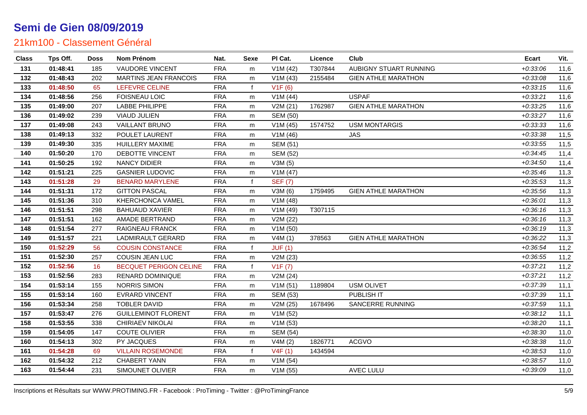| <b>Class</b> | Tps Off. | <b>Doss</b> | Nom Prénom                    | Nat.       | Sexe         | PI Cat.         | Licence | Club                       | Ecart      | Vit. |
|--------------|----------|-------------|-------------------------------|------------|--------------|-----------------|---------|----------------------------|------------|------|
| 131          | 01:48:41 | 185         | VAUDORE VINCENT               | <b>FRA</b> | m            | V1M(42)         | T307844 | AUBIGNY STUART RUNNING     | $+0.33.06$ | 11,6 |
| 132          | 01:48:43 | 202         | <b>MARTINS JEAN FRANCOIS</b>  | <b>FRA</b> | m            | V1M(43)         | 2155484 | <b>GIEN ATHLE MARATHON</b> | $+0.33:08$ | 11,6 |
| 133          | 01:48:50 | 65          | LEFEVRE CELINE                | <b>FRA</b> | $\mathbf{f}$ | V1F(6)          |         |                            | $+0.33:15$ | 11,6 |
| 134          | 01:48:56 | 256         | FOISNEAU LOIC                 | <b>FRA</b> | m            | V1M(44)         |         | <b>USPAF</b>               | $+0:33:21$ | 11,6 |
| 135          | 01:49:00 | 207         | <b>LABBE PHILIPPE</b>         | <b>FRA</b> | m            | V2M(21)         | 1762987 | <b>GIEN ATHLE MARATHON</b> | $+0.33.25$ | 11,6 |
| 136          | 01:49:02 | 239         | <b>VIAUD JULIEN</b>           | <b>FRA</b> | m            | <b>SEM (50)</b> |         |                            | $+0.33.27$ | 11,6 |
| 137          | 01:49:08 | 243         | <b>VAILLANT BRUNO</b>         | <b>FRA</b> | m            | V1M(45)         | 1574752 | <b>USM MONTARGIS</b>       | $+0.33.33$ | 11,6 |
| 138          | 01:49:13 | 332         | POULET LAURENT                | <b>FRA</b> | m            | V1M(46)         |         | <b>JAS</b>                 | $+0.33.38$ | 11,5 |
| 139          | 01:49:30 | 335         | HUILLERY MAXIME               | <b>FRA</b> | m            | <b>SEM (51)</b> |         |                            | $+0.33.55$ | 11,5 |
| 140          | 01:50:20 | 170         | DEBOTTE VINCENT               | <b>FRA</b> | m            | <b>SEM (52)</b> |         |                            | $+0.34:45$ | 11,4 |
| 141          | 01:50:25 | 192         | <b>NANCY DIDIER</b>           | <b>FRA</b> | m            | V3M(5)          |         |                            | $+0.34:50$ | 11,4 |
| 142          | 01:51:21 | 225         | <b>GASNIER LUDOVIC</b>        | <b>FRA</b> | m            | V1M(47)         |         |                            | $+0.35:46$ | 11,3 |
| 143          | 01:51:28 | 29          | <b>BENARD MARYLENE</b>        | <b>FRA</b> | f            | <b>SEF (7)</b>  |         |                            | $+0.35.53$ | 11,3 |
| 144          | 01:51:31 | 172         | <b>GITTON PASCAL</b>          | <b>FRA</b> | m            | V3M (6)         | 1759495 | <b>GIEN ATHLE MARATHON</b> | $+0.35.56$ | 11,3 |
| 145          | 01:51:36 | 310         | <b>KHERCHONCA VAMEL</b>       | <b>FRA</b> | m            | V1M(48)         |         |                            | $+0.36:01$ | 11,3 |
| 146          | 01:51:51 | 298         | <b>BAHUAUD XAVIER</b>         | <b>FRA</b> | m            | V1M(49)         | T307115 |                            | $+0.36:16$ | 11,3 |
| 147          | 01:51:51 | 162         | AMADE BERTRAND                | <b>FRA</b> | m            | V2M (22)        |         |                            | $+0.36:16$ | 11,3 |
| 148          | 01:51:54 | 277         | <b>RAIGNEAU FRANCK</b>        | <b>FRA</b> | m            | V1M(50)         |         |                            | $+0.36:19$ | 11,3 |
| 149          | 01:51:57 | 221         | <b>LADMIRAULT GERARD</b>      | <b>FRA</b> | m            | V4M(1)          | 378563  | <b>GIEN ATHLE MARATHON</b> | $+0.36:22$ | 11,3 |
| 150          | 01:52:29 | 56          | <b>COUSIN CONSTANCE</b>       | <b>FRA</b> | f            | JUF(1)          |         |                            | $+0.36.54$ | 11,2 |
| 151          | 01:52:30 | 257         | <b>COUSIN JEAN LUC</b>        | <b>FRA</b> | m            | V2M (23)        |         |                            | $+0.36.55$ | 11,2 |
| 152          | 01:52:56 | 16          | <b>BECQUET PERIGON CELINE</b> | <b>FRA</b> | f            | V1F(7)          |         |                            | $+0:37:21$ | 11,2 |
| 153          | 01:52:56 | 283         | RENARD DOMINIQUE              | <b>FRA</b> | m            | V2M (24)        |         |                            | $+0:37:21$ | 11,2 |
| 154          | 01:53:14 | 155         | <b>NORRIS SIMON</b>           | <b>FRA</b> | m            | V1M(51)         | 1189804 | <b>USM OLIVET</b>          | $+0.37.39$ | 11,1 |
| 155          | 01:53:14 | 160         | <b>EVRARD VINCENT</b>         | <b>FRA</b> | m            | <b>SEM (53)</b> |         | PUBLISH IT                 | $+0.37.39$ | 11,1 |
| 156          | 01:53:34 | 258         | <b>TOBLER DAVID</b>           | <b>FRA</b> | m            | V2M(25)         | 1678496 | <b>SANCERRE RUNNING</b>    | $+0.37.59$ | 11,1 |
| 157          | 01:53:47 | 276         | <b>GUILLEMINOT FLORENT</b>    | <b>FRA</b> | m            | V1M(52)         |         |                            | $+0.38:12$ | 11,1 |
| 158          | 01:53:55 | 338         | CHIRIAEV NIKOLAI              | <b>FRA</b> | m            | V1M(53)         |         |                            | $+0.38:20$ | 11,1 |
| 159          | 01:54:05 | 147         | <b>COUTE OLIVIER</b>          | <b>FRA</b> | m            | <b>SEM (54)</b> |         |                            | $+0.38.30$ | 11,0 |
| 160          | 01:54:13 | 302         | PY JACQUES                    | <b>FRA</b> | m            | V4M(2)          | 1826771 | <b>ACGVO</b>               | $+0.38.38$ | 11,0 |
| 161          | 01:54:28 | 69          | <b>VILLAIN ROSEMONDE</b>      | <b>FRA</b> | f            | V4F(1)          | 1434594 |                            | $+0.38.53$ | 11,0 |
| 162          | 01:54:32 | 212         | <b>CHABERT YANN</b>           | <b>FRA</b> | m            | V1M(54)         |         |                            | $+0.38:57$ | 11,0 |
| 163          | 01:54:44 | 231         | SIMOUNET OLIVIER              | <b>FRA</b> | m            | V1M(55)         |         | AVEC LULU                  | $+0.39.09$ | 11,0 |
|              |          |             |                               |            |              |                 |         |                            |            |      |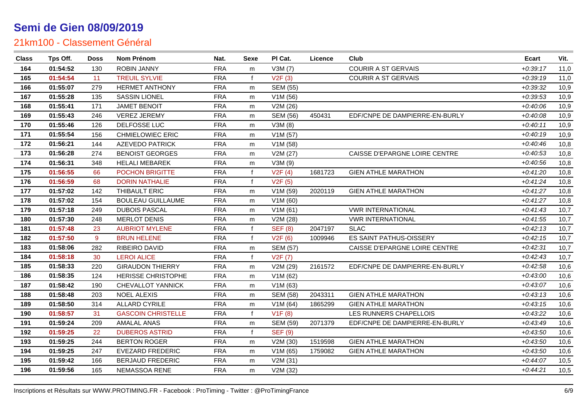| <b>Class</b> | Tps Off. | <b>Doss</b> | Nom Prénom                | Nat.       | Sexe         | PI Cat.         | Licence | Club                           | <b>Ecart</b> | Vit. |
|--------------|----------|-------------|---------------------------|------------|--------------|-----------------|---------|--------------------------------|--------------|------|
| 164          | 01:54:52 | 130         | <b>ROBIN JANNY</b>        | <b>FRA</b> | m            | V3M(7)          |         | <b>COURIR A ST GERVAIS</b>     | $+0:39:17$   | 11,0 |
| 165          | 01:54:54 | 11          | <b>TREUIL SYLVIE</b>      | <b>FRA</b> | $\mathbf{f}$ | V2F(3)          |         | <b>COURIR A ST GERVAIS</b>     | $+0.39:19$   | 11,0 |
| 166          | 01:55:07 | 279         | <b>HERMET ANTHONY</b>     | <b>FRA</b> | m            | <b>SEM (55)</b> |         |                                | $+0.39.32$   | 10,9 |
| 167          | 01:55:28 | 135         | <b>SASSIN LIONEL</b>      | <b>FRA</b> | m            | V1M (56)        |         |                                | $+0.39.53$   | 10,9 |
| 168          | 01:55:41 | 171         | <b>JAMET BENOIT</b>       | <b>FRA</b> | m            | V2M (26)        |         |                                | $+0.40:06$   | 10,9 |
| 169          | 01:55:43 | 246         | <b>VEREZ JEREMY</b>       | <b>FRA</b> | m            | <b>SEM (56)</b> | 450431  | EDF/CNPE DE DAMPIERRE-EN-BURLY | $+0:40:08$   | 10,9 |
| 170          | 01:55:46 | 126         | DELFOSSE LUC              | <b>FRA</b> | m            | V3M(8)          |         |                                | $+0:40:11$   | 10,9 |
| 171          | 01:55:54 | 156         | <b>CHMIELOWIEC ERIC</b>   | <b>FRA</b> | m            | V1M(57)         |         |                                | $+0:40:19$   | 10,9 |
| 172          | 01:56:21 | 144         | <b>AZEVEDO PATRICK</b>    | <b>FRA</b> | m            | V1M(58)         |         |                                | $+0:40:46$   | 10,8 |
| 173          | 01:56:28 | 274         | <b>BENOIST GEORGES</b>    | <b>FRA</b> | m            | V2M (27)        |         | CAISSE D'EPARGNE LOIRE CENTRE  | $+0.40:53$   | 10,8 |
| 174          | 01:56:31 | 348         | <b>HELALI MEBAREK</b>     | <b>FRA</b> | m            | V3M (9)         |         |                                | $+0.40.56$   | 10,8 |
| 175          | 01:56:55 | 66          | <b>POCHON BRIGITTE</b>    | <b>FRA</b> | f            | V2F(4)          | 1681723 | <b>GIEN ATHLE MARATHON</b>     | $+0:41:20$   | 10,8 |
| 176          | 01:56:59 | 68          | <b>DORIN NATHALIE</b>     | <b>FRA</b> | $\mathbf{f}$ | V2F(5)          |         |                                | $+0:41:24$   | 10,8 |
| 177          | 01:57:02 | 142         | THIBAULT ERIC             | <b>FRA</b> | m            | V1M (59)        | 2020119 | <b>GIEN ATHLE MARATHON</b>     | $+0:41:27$   | 10,8 |
| 178          | 01:57:02 | 154         | <b>BOULEAU GUILLAUME</b>  | <b>FRA</b> | m            | V1M(60)         |         |                                | $+0:41:27$   | 10,8 |
| 179          | 01:57:18 | 249         | <b>DUBOIS PASCAL</b>      | <b>FRA</b> | m            | V1M(61)         |         | <b>VWR INTERNATIONAL</b>       | $+0:41:43$   | 10,7 |
| 180          | 01:57:30 | 248         | <b>MERLOT DENIS</b>       | <b>FRA</b> | m            | V2M (28)        |         | <b>VWR INTERNATIONAL</b>       | $+0:41:55$   | 10,7 |
| 181          | 01:57:48 | 23          | <b>AUBRIOT MYLENE</b>     | <b>FRA</b> | f            | <b>SEF (8)</b>  | 2047197 | <b>SLAC</b>                    | $+0:42:13$   | 10,7 |
| 182          | 01:57:50 | 9           | <b>BRUN HELENE</b>        | <b>FRA</b> | $\mathbf{f}$ | V2F(6)          | 1009946 | ES SAINT PATHUS-OISSERY        | $+0.42:15$   | 10,7 |
| 183          | 01:58:06 | 282         | RIBEIRO DAVID             | <b>FRA</b> | m            | <b>SEM (57)</b> |         | CAISSE D'EPARGNE LOIRE CENTRE  | $+0.42:31$   | 10,7 |
| 184          | 01:58:18 | 30          | <b>LEROI ALICE</b>        | <b>FRA</b> | $\mathbf{f}$ | V2F(7)          |         |                                | $+0.42:43$   | 10,7 |
| 185          | 01:58:33 | 220         | <b>GIRAUDON THIERRY</b>   | <b>FRA</b> | m            | V2M (29)        | 2161572 | EDF/CNPE DE DAMPIERRE-EN-BURLY | $+0.42.58$   | 10,6 |
| 186          | 01:58:35 | 124         | <b>HERISSE CHRISTOPHE</b> | <b>FRA</b> | m            | V1M (62)        |         |                                | $+0.43:00$   | 10,6 |
| 187          | 01:58:42 | 190         | CHEVALLOT YANNICK         | <b>FRA</b> | m            | V1M (63)        |         |                                | $+0.43:07$   | 10,6 |
| 188          | 01:58:48 | 203         | <b>NOEL ALEXIS</b>        | <b>FRA</b> | m            | <b>SEM (58)</b> | 2043311 | <b>GIEN ATHLE MARATHON</b>     | $+0.43:13$   | 10,6 |
| 189          | 01:58:50 | 314         | <b>ALLARD CYRILE</b>      | <b>FRA</b> | m            | V1M(64)         | 1865299 | <b>GIEN ATHLE MARATHON</b>     | $+0.43:15$   | 10,6 |
| 190          | 01:58:57 | 31          | <b>GASCOIN CHRISTELLE</b> | <b>FRA</b> | $\mathbf{f}$ | V1F(8)          |         | LES RUNNERS CHAPELLOIS         | $+0.43:22$   | 10,6 |
| 191          | 01:59:24 | 209         | <b>AMALAL ANAS</b>        | <b>FRA</b> | m            | <b>SEM (59)</b> | 2071379 | EDF/CNPE DE DAMPIERRE-EN-BURLY | $+0.43:49$   | 10,6 |
| 192          | 01:59:25 | 22          | <b>DUBEROS ASTRID</b>     | <b>FRA</b> | f            | <b>SEF (9)</b>  |         |                                | $+0.43:50$   | 10,6 |
| 193          | 01:59:25 | 244         | <b>BERTON ROGER</b>       | <b>FRA</b> | m            | V2M (30)        | 1519598 | <b>GIEN ATHLE MARATHON</b>     | $+0.43:50$   | 10,6 |
| 194          | 01:59:25 | 247         | <b>EVEZARD FREDERIC</b>   | <b>FRA</b> | m            | V1M(65)         | 1759082 | <b>GIEN ATHLE MARATHON</b>     | $+0.43:50$   | 10,6 |
| 195          | 01:59:42 | 166         | <b>BERJAUD FREDERIC</b>   | <b>FRA</b> | m            | V2M (31)        |         |                                | $+0:44:07$   | 10,5 |
| 196          | 01:59:56 | 165         | <b>NEMASSOA RENE</b>      | <b>FRA</b> | m            | V2M (32)        |         |                                | $+0:44:21$   | 10,5 |
|              |          |             |                           |            |              |                 |         |                                |              |      |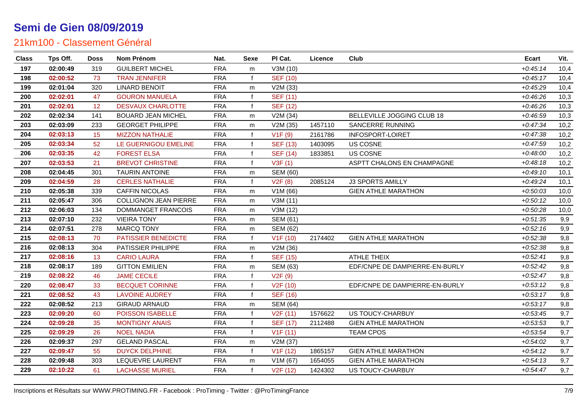| <b>Class</b> | Tps Off. | <b>Doss</b>     | Nom Prénom                   | Nat.       | Sexe         | PI Cat.               | Licence | Club                           | <b>Ecart</b> | Vit. |
|--------------|----------|-----------------|------------------------------|------------|--------------|-----------------------|---------|--------------------------------|--------------|------|
| 197          | 02:00:49 | 319             | <b>GUILBERT MICHEL</b>       | <b>FRA</b> | m            | V3M (10)              |         |                                | $+0:45:14$   | 10,4 |
| 198          | 02:00:52 | 73              | <b>TRAN JENNIFER</b>         | <b>FRA</b> | f            | <b>SEF (10)</b>       |         |                                | $+0:45:17$   | 10,4 |
| 199          | 02:01:04 | 320             | <b>LINARD BENOIT</b>         | <b>FRA</b> | m            | V2M (33)              |         |                                | $+0.45.29$   | 10,4 |
| 200          | 02:02:01 | 47              | <b>GOURON MANUELA</b>        | <b>FRA</b> | f            | <b>SEF (11)</b>       |         |                                | $+0.46.26$   | 10,3 |
| 201          | 02:02:01 | 12 <sup>2</sup> | <b>DESVAUX CHARLOTTE</b>     | <b>FRA</b> | f            | <b>SEF (12)</b>       |         |                                | $+0.46:26$   | 10,3 |
| 202          | 02:02:34 | 141             | <b>BOUARD JEAN MICHEL</b>    | <b>FRA</b> | m            | V2M (34)              |         | BELLEVILLE JOGGING CLUB 18     | $+0.46:59$   | 10,3 |
| 203          | 02:03:09 | 233             | <b>GEORGET PHILIPPE</b>      | <b>FRA</b> | m            | V2M (35)              | 1457110 | SANCERRE RUNNING               | $+0:47:34$   | 10,2 |
| 204          | 02:03:13 | 15              | <b>MIZZON NATHALIE</b>       | <b>FRA</b> | f            | V1F(9)                | 2161786 | INFOSPORT-LOIRET               | $+0:47:38$   | 10,2 |
| 205          | 02:03:34 | 52              | LE GUERNIGOU EMELINE         | <b>FRA</b> | $\mathbf{f}$ | <b>SEF (13)</b>       | 1403095 | <b>US COSNE</b>                | $+0.47:59$   | 10,2 |
| 206          | 02:03:35 | 42              | <b>FOREST ELSA</b>           | <b>FRA</b> | $\mathsf{f}$ | <b>SEF (14)</b>       | 1833851 | <b>US COSNE</b>                | $+0.48:00$   | 10,2 |
| 207          | 02:03:53 | 21              | <b>BREVOT CHRISTINE</b>      | <b>FRA</b> | $\mathbf{f}$ | V3F(1)                |         | ASPTT CHALONS EN CHAMPAGNE     | $+0:48:18$   | 10,2 |
| 208          | 02:04:45 | 301             | <b>TAURIN ANTOINE</b>        | <b>FRA</b> | m            | <b>SEM (60)</b>       |         |                                | $+0:49:10$   | 10,1 |
| 209          | 02:04:59 | 28              | <b>CERLES NATHALIE</b>       | <b>FRA</b> | f            | V2F(8)                | 2085124 | <b>J3 SPORTS AMILLY</b>        | $+0.49:24$   | 10,1 |
| 210          | 02:05:38 | 339             | <b>CAFFIN NICOLAS</b>        | <b>FRA</b> | m            | V1M (66)              |         | <b>GIEN ATHLE MARATHON</b>     | $+0.50.03$   | 10,0 |
| 211          | 02:05:47 | 306             | <b>COLLIGNON JEAN PIERRE</b> | <b>FRA</b> | m            | V3M(11)               |         |                                | $+0.50:12$   | 10,0 |
| 212          | 02:06:03 | 134             | DOMMANGET FRANCOIS           | <b>FRA</b> | m            | V3M (12)              |         |                                | $+0.50.28$   | 10,0 |
| 213          | 02:07:10 | 232             | <b>VIEIRA TONY</b>           | <b>FRA</b> | m            | <b>SEM (61)</b>       |         |                                | $+0.51.35$   | 9,9  |
| 214          | 02:07:51 | 278             | <b>MARCQ TONY</b>            | <b>FRA</b> | m            | <b>SEM (62)</b>       |         |                                | $+0.52:16$   | 9,9  |
| 215          | 02:08:13 | 70              | PATISSIER BENEDICTE          | <b>FRA</b> | f            | V1F(10)               | 2174402 | <b>GIEN ATHLE MARATHON</b>     | $+0.52.38$   | 9,8  |
| 216          | 02:08:13 | 304             | PATISSIER PHILIPPE           | <b>FRA</b> | m            | V2M (36)              |         |                                | $+0.52.38$   | 9,8  |
| 217          | 02:08:16 | 13              | <b>CARIO LAURA</b>           | <b>FRA</b> | $\mathbf{f}$ | <b>SEF (15)</b>       |         | <b>ATHLE THEIX</b>             | $+0.52:41$   | 9,8  |
| 218          | 02:08:17 | 189             | <b>GITTON EMILIEN</b>        | <b>FRA</b> | m            | SEM (63)              |         | EDF/CNPE DE DAMPIERRE-EN-BURLY | $+0.52:42$   | 9,8  |
| 219          | 02:08:22 | 46              | <b>JAME CECILE</b>           | <b>FRA</b> | $\mathbf{f}$ | V2F(9)                |         |                                | $+0.52:47$   | 9,8  |
| 220          | 02:08:47 | 33              | <b>BECQUET CORINNE</b>       | <b>FRA</b> | f            | V <sub>2</sub> F (10) |         | EDF/CNPE DE DAMPIERRE-EN-BURLY | $+0.53:12$   | 9,8  |
| 221          | 02:08:52 | 43              | <b>LAVOINE AUDREY</b>        | <b>FRA</b> | $\mathbf{f}$ | <b>SEF (16)</b>       |         |                                | $+0:53:17$   | 9,8  |
| 222          | 02:08:52 | 213             | <b>GIRAUD ARNAUD</b>         | <b>FRA</b> | m            | <b>SEM (64)</b>       |         |                                | $+0:53:17$   | 9,8  |
| 223          | 02:09:20 | 60              | POISSON ISABELLE             | <b>FRA</b> | f            | V2F(11)               | 1576622 | <b>US TOUCY-CHARBUY</b>        | $+0.53:45$   | 9,7  |
| 224          | 02:09:28 | 35              | <b>MONTIGNY ANAIS</b>        | <b>FRA</b> | f            | <b>SEF (17)</b>       | 2112488 | <b>GIEN ATHLE MARATHON</b>     | $+0.53.53$   | 9,7  |
| 225          | 02:09:29 | 26              | <b>NOEL NADIA</b>            | <b>FRA</b> | f            | V1F(11)               |         | <b>TEAM CPOS</b>               | $+0.53.54$   | 9,7  |
| 226          | 02:09:37 | 297             | <b>GELAND PASCAL</b>         | <b>FRA</b> | m            | V2M (37)              |         |                                | $+0.54:02$   | 9,7  |
| 227          | 02:09:47 | 55              | <b>DUYCK DELPHINE</b>        | <b>FRA</b> | $\mathbf{f}$ | V <sub>1</sub> F (12) | 1865157 | <b>GIEN ATHLE MARATHON</b>     | $+0.54:12$   | 9,7  |
| 228          | 02:09:48 | 303             | LEQUEVRE LAURENT             | <b>FRA</b> | m            | V1M(67)               | 1654055 | <b>GIEN ATHLE MARATHON</b>     | $+0.54:13$   | 9,7  |
| 229          | 02:10:22 | 61              | <b>LACHASSE MURIEL</b>       | <b>FRA</b> | f            | V <sub>2</sub> F (12) | 1424302 | US TOUCY-CHARBUY               | $+0.54:47$   | 9,7  |
|              |          |                 |                              |            |              |                       |         |                                |              |      |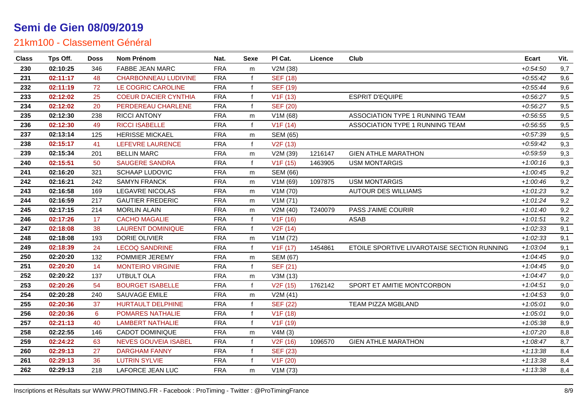| <b>Class</b> | Tps Off. | Doss | Nom Prénom                   | Nat.       | Sexe         | PI Cat.               | Licence | Club                                        | Ecart      | Vit. |
|--------------|----------|------|------------------------------|------------|--------------|-----------------------|---------|---------------------------------------------|------------|------|
| 230          | 02:10:25 | 346  | <b>FABBE JEAN MARC</b>       | <b>FRA</b> | m            | V2M (38)              |         |                                             | $+0.54:50$ | 9,7  |
| 231          | 02:11:17 | 48   | <b>CHARBONNEAU LUDIVINE</b>  | <b>FRA</b> |              | <b>SEF (18)</b>       |         |                                             | $+0.55:42$ | 9,6  |
| 232          | 02:11:19 | 72   | LE COGRIC CAROLINE           | <b>FRA</b> |              | <b>SEF (19)</b>       |         |                                             | $+0.55:44$ | 9,6  |
| 233          | 02:12:02 | 25   | <b>COEUR D'ACIER CYNTHIA</b> | <b>FRA</b> |              | V1F(13)               |         | <b>ESPRIT D'EQUIPE</b>                      | $+0.56.27$ | 9,5  |
| 234          | 02:12:02 | 20   | PERDEREAU CHARLENE           | <b>FRA</b> |              | <b>SEF (20)</b>       |         |                                             | $+0.56:27$ | 9,5  |
| 235          | 02:12:30 | 238  | <b>RICCI ANTONY</b>          | <b>FRA</b> | m            | V1M(68)               |         | ASSOCIATION TYPE 1 RUNNING TEAM             | $+0.56.55$ | 9,5  |
| 236          | 02:12:30 | 49   | <b>RICCI ISABELLE</b>        | <b>FRA</b> | f            | V1F(14)               |         | ASSOCIATION TYPE 1 RUNNING TEAM             | $+0.56.55$ | 9,5  |
| 237          | 02:13:14 | 125  | <b>HERISSE MICKAEL</b>       | <b>FRA</b> | m            | <b>SEM (65)</b>       |         |                                             | $+0.57.39$ | 9,5  |
| 238          | 02:15:17 | 41   | LEFEVRE LAURENCE             | <b>FRA</b> | $\mathbf{f}$ | V <sub>2</sub> F (13) |         |                                             | $+0.59:42$ | 9,3  |
| 239          | 02:15:34 | 201  | <b>BELLIN MARC</b>           | <b>FRA</b> | m            | V2M (39)              | 1216147 | <b>GIEN ATHLE MARATHON</b>                  | $+0.59.59$ | 9,3  |
| 240          | 02:15:51 | 50   | <b>SAUGERE SANDRA</b>        | <b>FRA</b> | f            | V <sub>1</sub> F (15) | 1463905 | <b>USM MONTARGIS</b>                        | $+1:00:16$ | 9,3  |
| 241          | 02:16:20 | 321  | <b>SCHAAP LUDOVIC</b>        | <b>FRA</b> | m            | <b>SEM (66)</b>       |         |                                             | $+1:00:45$ | 9,2  |
| 242          | 02:16:21 | 242  | <b>SAMYN FRANCK</b>          | <b>FRA</b> | m            | V1M (69)              | 1097875 | <b>USM MONTARGIS</b>                        | $+1:00:46$ | 9,2  |
| 243          | 02:16:58 | 169  | <b>LEGAVRE NICOLAS</b>       | <b>FRA</b> | m            | V1M (70)              |         | <b>AUTOUR DES WILLIAMS</b>                  | $+1:01:23$ | 9,2  |
| 244          | 02:16:59 | 217  | <b>GAUTIER FREDERIC</b>      | <b>FRA</b> | m            | V1M(71)               |         |                                             | $+1:01:24$ | 9,2  |
| 245          | 02:17:15 | 214  | <b>MORLIN ALAIN</b>          | <b>FRA</b> | m            | V2M (40)              | T240079 | <b>PASS J'AIME COURIR</b>                   | $+1:01:40$ | 9,2  |
| 246          | 02:17:26 | 17   | <b>CACHO MAGALIE</b>         | <b>FRA</b> | f            | V1F(16)               |         | <b>ASAB</b>                                 | $+1:01:51$ | 9,2  |
| 247          | 02:18:08 | 38   | <b>LAURENT DOMINIQUE</b>     | <b>FRA</b> | f            | V <sub>2</sub> F (14) |         |                                             | $+1:02:33$ | 9,1  |
| 248          | 02:18:08 | 193  | DORIE OLIVIER                | <b>FRA</b> | m            | V1M (72)              |         |                                             | $+1:02:33$ | 9,1  |
| 249          | 02:18:39 | 24   | <b>LECOQ SANDRINE</b>        | <b>FRA</b> | f            | V <sub>1</sub> F (17) | 1454861 | ETOILE SPORTIVE LIVAROTAISE SECTION RUNNING | $+1:03:04$ | 9,1  |
| 250          | 02:20:20 | 132  | POMMIER JEREMY               | <b>FRA</b> | m            | <b>SEM (67)</b>       |         |                                             | $+1.04:45$ | 9,0  |
| 251          | 02:20:20 | 14   | <b>MONTEIRO VIRGINIE</b>     | <b>FRA</b> | f            | <b>SEF (21)</b>       |         |                                             | $+1:04:45$ | 9,0  |
| 252          | 02:20:22 | 137  | UTBULT OLA                   | <b>FRA</b> | m            | V3M (13)              |         |                                             | $+1:04:47$ | 9,0  |
| 253          | 02:20:26 | 54   | <b>BOURGET ISABELLE</b>      | <b>FRA</b> | f            | V <sub>2</sub> F (15) | 1762142 | SPORT ET AMITIE MONTCORBON                  | $+1:04:51$ | 9,0  |
| 254          | 02:20:28 | 240  | SAUVAGE EMILE                | <b>FRA</b> | m            | V2M(41)               |         |                                             | $+1:04:53$ | 9,0  |
| 255          | 02:20:36 | 37   | HURTAULT DELPHINE            | <b>FRA</b> |              | <b>SEF (22)</b>       |         | <b>TEAM PIZZA MGBLAND</b>                   | $+1:05:01$ | 9,0  |
| 256          | 02:20:36 | 6    | POMARES NATHALIE             | <b>FRA</b> |              | V <sub>1</sub> F (18) |         |                                             | $+1:05:01$ | 9,0  |
| 257          | 02:21:13 | 40   | <b>LAMBERT NATHALIE</b>      | <b>FRA</b> | f            | V <sub>1</sub> F (19) |         |                                             | $+1:05:38$ | 8,9  |
| 258          | 02:22:55 | 146  | <b>CADOT DOMINIQUE</b>       | <b>FRA</b> | m            | V4M(3)                |         |                                             | $+1:07:20$ | 8,8  |
| 259          | 02:24:22 | 63   | <b>NEVES GOUVEIA ISABEL</b>  | <b>FRA</b> | f            | V <sub>2</sub> F (16) | 1096570 | <b>GIEN ATHLE MARATHON</b>                  | $+1:08:47$ | 8,7  |
| 260          | 02:29:13 | 27   | <b>DARGHAM FANNY</b>         | <b>FRA</b> | f            | <b>SEF (23)</b>       |         |                                             | $+1:13:38$ | 8,4  |
| 261          | 02:29:13 | 36   | <b>LUTRIN SYLVIE</b>         | <b>FRA</b> | $\mathbf{f}$ | V <sub>1</sub> F (20) |         |                                             | $+1:13:38$ | 8,4  |
| 262          | 02:29:13 | 218  | LAFORCE JEAN LUC             | <b>FRA</b> | m            | V1M(73)               |         |                                             | $+1:13:38$ | 8,4  |